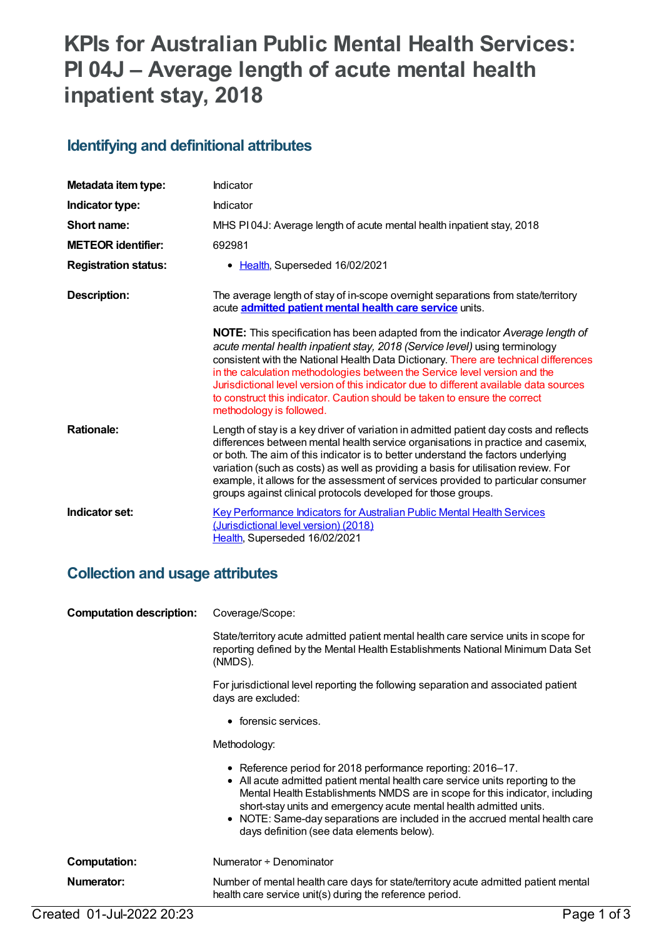# **KPIs for Australian Public Mental Health Services: PI 04J – Average length of acute mental health inpatient stay, 2018**

#### **Identifying and definitional attributes**

| Metadata item type:         | Indicator                                                                                                                                                                                                                                                                                                                                                                                                                                                                                                                                     |
|-----------------------------|-----------------------------------------------------------------------------------------------------------------------------------------------------------------------------------------------------------------------------------------------------------------------------------------------------------------------------------------------------------------------------------------------------------------------------------------------------------------------------------------------------------------------------------------------|
| Indicator type:             | Indicator                                                                                                                                                                                                                                                                                                                                                                                                                                                                                                                                     |
| Short name:                 | MHS PI04J: Average length of acute mental health inpatient stay, 2018                                                                                                                                                                                                                                                                                                                                                                                                                                                                         |
| <b>METEOR identifier:</b>   | 692981                                                                                                                                                                                                                                                                                                                                                                                                                                                                                                                                        |
| <b>Registration status:</b> | Health, Superseded 16/02/2021                                                                                                                                                                                                                                                                                                                                                                                                                                                                                                                 |
| Description:                | The average length of stay of in-scope overnight separations from state/territory<br>acute <b>admitted patient mental health care service</b> units.                                                                                                                                                                                                                                                                                                                                                                                          |
|                             | <b>NOTE:</b> This specification has been adapted from the indicator Average length of<br>acute mental health inpatient stay, 2018 (Service level) using terminology<br>consistent with the National Health Data Dictionary. There are technical differences<br>in the calculation methodologies between the Service level version and the<br>Jurisdictional level version of this indicator due to different available data sources<br>to construct this indicator. Caution should be taken to ensure the correct<br>methodology is followed. |
| <b>Rationale:</b>           | Length of stay is a key driver of variation in admitted patient day costs and reflects<br>differences between mental health service organisations in practice and casemix,<br>or both. The aim of this indicator is to better understand the factors underlying<br>variation (such as costs) as well as providing a basis for utilisation review. For<br>example, it allows for the assessment of services provided to particular consumer<br>groups against clinical protocols developed for those groups.                                   |
| Indicator set:              | <b>Key Performance Indicators for Australian Public Mental Health Services</b><br>(Jurisdictional level version) (2018)<br>Health, Superseded 16/02/2021                                                                                                                                                                                                                                                                                                                                                                                      |

#### **Collection and usage attributes**

| <b>Computation description:</b> | Coverage/Scope:<br>State/territory acute admitted patient mental health care service units in scope for<br>reporting defined by the Mental Health Establishments National Minimum Data Set<br>(NMDS).<br>For jurisdictional level reporting the following separation and associated patient<br>days are excluded:<br>$\bullet$ forensic services.<br>Methodology:<br>• Reference period for 2018 performance reporting: 2016–17.<br>• All acute admitted patient mental health care service units reporting to the<br>Mental Health Establishments NMDS are in scope for this indicator, including |
|---------------------------------|----------------------------------------------------------------------------------------------------------------------------------------------------------------------------------------------------------------------------------------------------------------------------------------------------------------------------------------------------------------------------------------------------------------------------------------------------------------------------------------------------------------------------------------------------------------------------------------------------|
|                                 | short-stay units and emergency acute mental health admitted units.<br>• NOTE: Same-day separations are included in the accrued mental health care<br>days definition (see data elements below).                                                                                                                                                                                                                                                                                                                                                                                                    |
| <b>Computation:</b>             | Numerator + Denominator                                                                                                                                                                                                                                                                                                                                                                                                                                                                                                                                                                            |
| Numerator:                      | Number of mental health care days for state/territory acute admitted patient mental<br>health care service unit(s) during the reference period.                                                                                                                                                                                                                                                                                                                                                                                                                                                    |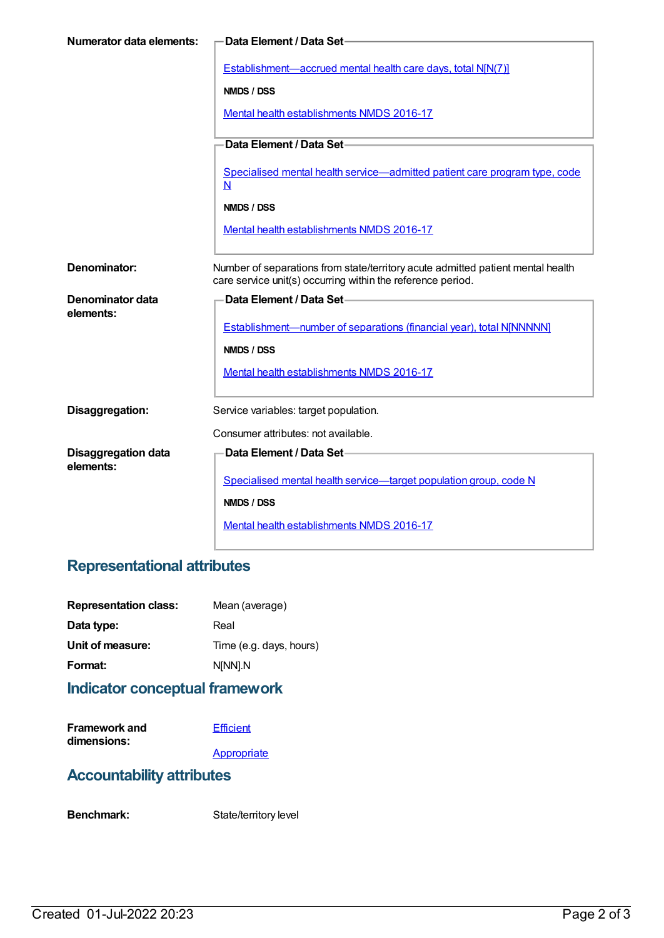| <b>Numerator data elements:</b> | Data Element / Data Set-                                                                                                                       |
|---------------------------------|------------------------------------------------------------------------------------------------------------------------------------------------|
|                                 | Establishment-accrued mental health care days, total N[N(7)]                                                                                   |
|                                 | NMDS / DSS                                                                                                                                     |
|                                 | Mental health establishments NMDS 2016-17                                                                                                      |
|                                 | Data Element / Data Set-                                                                                                                       |
|                                 | Specialised mental health service—admitted patient care program type, code<br>N                                                                |
|                                 | NMDS / DSS                                                                                                                                     |
|                                 | Mental health establishments NMDS 2016-17                                                                                                      |
| Denominator:                    | Number of separations from state/territory acute admitted patient mental health<br>care service unit(s) occurring within the reference period. |
| Denominator data                | Data Element / Data Set-                                                                                                                       |
| elements:                       | Establishment-number of separations (financial year), total NJNNNNN]                                                                           |
|                                 | NMDS / DSS                                                                                                                                     |
|                                 | Mental health establishments NMDS 2016-17                                                                                                      |
| Disaggregation:                 | Service variables: target population.                                                                                                          |
|                                 | Consumer attributes: not available.                                                                                                            |
| <b>Disaggregation data</b>      | Data Element / Data Set-                                                                                                                       |
| elements:                       |                                                                                                                                                |
|                                 | Specialised mental health service-target population group, code N                                                                              |
|                                 | NMDS / DSS                                                                                                                                     |
|                                 | Mental health establishments NMDS 2016-17                                                                                                      |

### **Representational attributes**

| <b>Representation class:</b> | Mean (average)          |
|------------------------------|-------------------------|
| Data type:                   | Real                    |
| Unit of measure:             | Time (e.g. days, hours) |
| Format:                      | N[NN].N                 |
|                              |                         |

#### **Indicator conceptual framework**

| <b>Framework and</b> | Efficient |
|----------------------|-----------|
| dimensions:          |           |

**[Appropriate](https://meteor.aihw.gov.au/content/584871)** 

#### **Accountability attributes**

Benchmark: State/territory level